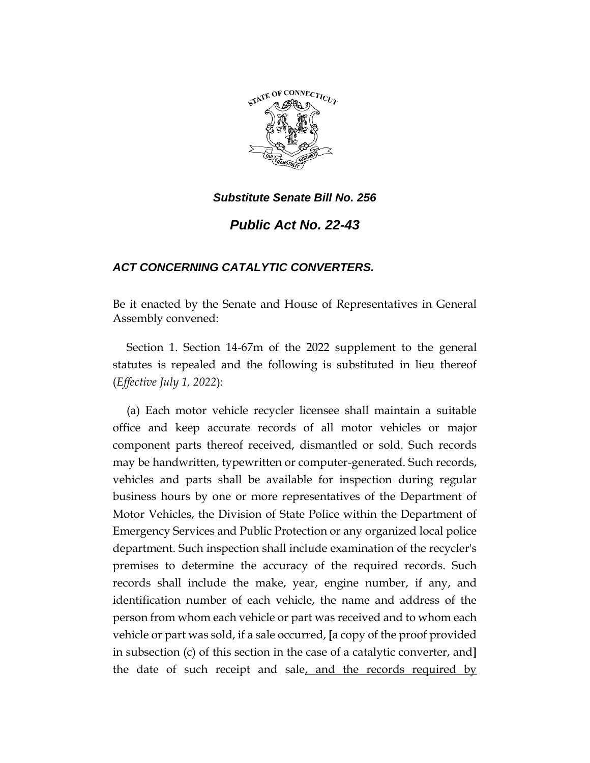

*Public Act No. 22-43*

# *ACT CONCERNING CATALYTIC CONVERTERS.*

Be it enacted by the Senate and House of Representatives in General Assembly convened:

Section 1. Section 14-67m of the 2022 supplement to the general statutes is repealed and the following is substituted in lieu thereof (*Effective July 1, 2022*):

(a) Each motor vehicle recycler licensee shall maintain a suitable office and keep accurate records of all motor vehicles or major component parts thereof received, dismantled or sold. Such records may be handwritten, typewritten or computer-generated. Such records, vehicles and parts shall be available for inspection during regular business hours by one or more representatives of the Department of Motor Vehicles, the Division of State Police within the Department of Emergency Services and Public Protection or any organized local police department. Such inspection shall include examination of the recycler's premises to determine the accuracy of the required records. Such records shall include the make, year, engine number, if any, and identification number of each vehicle, the name and address of the person from whom each vehicle or part was received and to whom each vehicle or part was sold, if a sale occurred, **[**a copy of the proof provided in subsection (c) of this section in the case of a catalytic converter, and**]** the date of such receipt and sale, and the records required by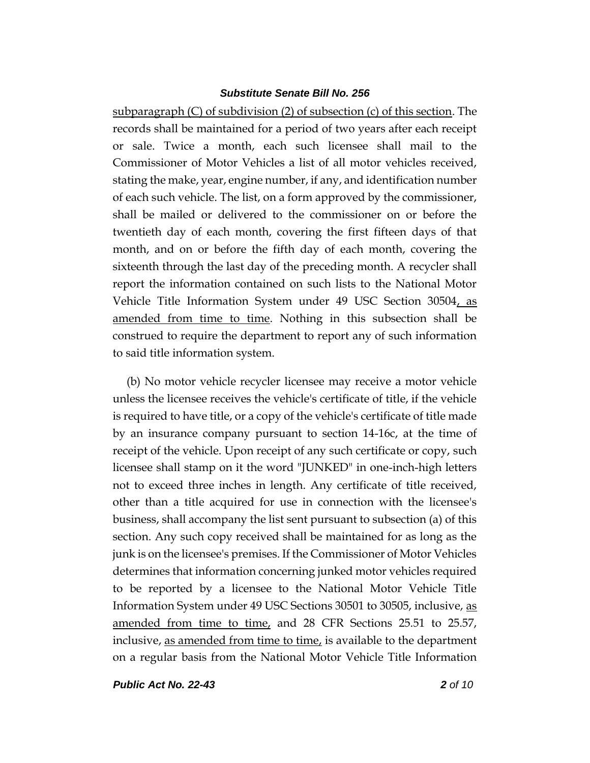subparagraph (C) of subdivision (2) of subsection (c) of this section. The records shall be maintained for a period of two years after each receipt or sale. Twice a month, each such licensee shall mail to the Commissioner of Motor Vehicles a list of all motor vehicles received, stating the make, year, engine number, if any, and identification number of each such vehicle. The list, on a form approved by the commissioner, shall be mailed or delivered to the commissioner on or before the twentieth day of each month, covering the first fifteen days of that month, and on or before the fifth day of each month, covering the sixteenth through the last day of the preceding month. A recycler shall report the information contained on such lists to the National Motor Vehicle Title Information System under 49 USC Section 30504, as amended from time to time. Nothing in this subsection shall be construed to require the department to report any of such information to said title information system.

(b) No motor vehicle recycler licensee may receive a motor vehicle unless the licensee receives the vehicle's certificate of title, if the vehicle is required to have title, or a copy of the vehicle's certificate of title made by an insurance company pursuant to section 14-16c, at the time of receipt of the vehicle. Upon receipt of any such certificate or copy, such licensee shall stamp on it the word "JUNKED" in one-inch-high letters not to exceed three inches in length. Any certificate of title received, other than a title acquired for use in connection with the licensee's business, shall accompany the list sent pursuant to subsection (a) of this section. Any such copy received shall be maintained for as long as the junk is on the licensee's premises. If the Commissioner of Motor Vehicles determines that information concerning junked motor vehicles required to be reported by a licensee to the National Motor Vehicle Title Information System under 49 USC Sections 30501 to 30505, inclusive, as amended from time to time, and 28 CFR Sections 25.51 to 25.57, inclusive, as amended from time to time, is available to the department on a regular basis from the National Motor Vehicle Title Information

*Public Act No. 22-43 2 of 10*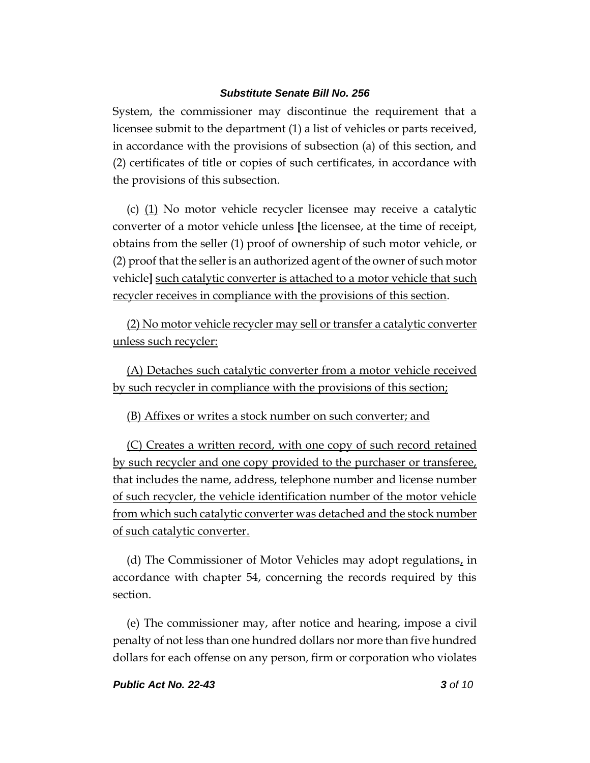System, the commissioner may discontinue the requirement that a licensee submit to the department (1) a list of vehicles or parts received, in accordance with the provisions of subsection (a) of this section, and (2) certificates of title or copies of such certificates, in accordance with the provisions of this subsection.

(c) (1) No motor vehicle recycler licensee may receive a catalytic converter of a motor vehicle unless **[**the licensee, at the time of receipt, obtains from the seller (1) proof of ownership of such motor vehicle, or (2) proof that the seller is an authorized agent of the owner of such motor vehicle**]** such catalytic converter is attached to a motor vehicle that such recycler receives in compliance with the provisions of this section.

(2) No motor vehicle recycler may sell or transfer a catalytic converter unless such recycler:

(A) Detaches such catalytic converter from a motor vehicle received by such recycler in compliance with the provisions of this section;

(B) Affixes or writes a stock number on such converter; and

(C) Creates a written record, with one copy of such record retained by such recycler and one copy provided to the purchaser or transferee, that includes the name, address, telephone number and license number of such recycler, the vehicle identification number of the motor vehicle from which such catalytic converter was detached and the stock number of such catalytic converter.

(d) The Commissioner of Motor Vehicles may adopt regulations, in accordance with chapter 54, concerning the records required by this section.

(e) The commissioner may, after notice and hearing, impose a civil penalty of not less than one hundred dollars nor more than five hundred dollars for each offense on any person, firm or corporation who violates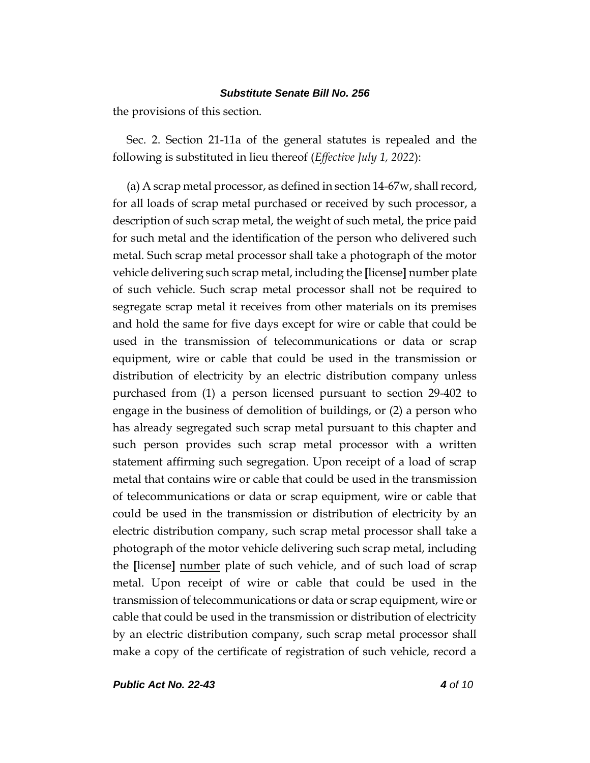the provisions of this section.

Sec. 2. Section 21-11a of the general statutes is repealed and the following is substituted in lieu thereof (*Effective July 1, 2022*):

(a) A scrap metal processor, as defined in section 14-67w, shall record, for all loads of scrap metal purchased or received by such processor, a description of such scrap metal, the weight of such metal, the price paid for such metal and the identification of the person who delivered such metal. Such scrap metal processor shall take a photograph of the motor vehicle delivering such scrap metal, including the **[**license**]** number plate of such vehicle. Such scrap metal processor shall not be required to segregate scrap metal it receives from other materials on its premises and hold the same for five days except for wire or cable that could be used in the transmission of telecommunications or data or scrap equipment, wire or cable that could be used in the transmission or distribution of electricity by an electric distribution company unless purchased from (1) a person licensed pursuant to section 29-402 to engage in the business of demolition of buildings, or (2) a person who has already segregated such scrap metal pursuant to this chapter and such person provides such scrap metal processor with a written statement affirming such segregation. Upon receipt of a load of scrap metal that contains wire or cable that could be used in the transmission of telecommunications or data or scrap equipment, wire or cable that could be used in the transmission or distribution of electricity by an electric distribution company, such scrap metal processor shall take a photograph of the motor vehicle delivering such scrap metal, including the **[**license**]** number plate of such vehicle, and of such load of scrap metal. Upon receipt of wire or cable that could be used in the transmission of telecommunications or data or scrap equipment, wire or cable that could be used in the transmission or distribution of electricity by an electric distribution company, such scrap metal processor shall make a copy of the certificate of registration of such vehicle, record a

*Public Act No. 22-43 4 of 10*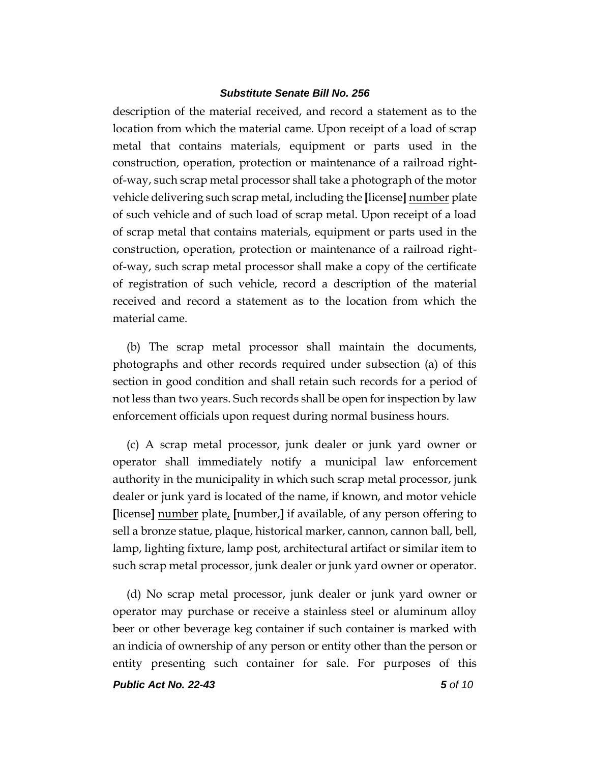description of the material received, and record a statement as to the location from which the material came. Upon receipt of a load of scrap metal that contains materials, equipment or parts used in the construction, operation, protection or maintenance of a railroad rightof-way, such scrap metal processor shall take a photograph of the motor vehicle delivering such scrap metal, including the **[**license**]** number plate of such vehicle and of such load of scrap metal. Upon receipt of a load of scrap metal that contains materials, equipment or parts used in the construction, operation, protection or maintenance of a railroad rightof-way, such scrap metal processor shall make a copy of the certificate of registration of such vehicle, record a description of the material received and record a statement as to the location from which the material came.

(b) The scrap metal processor shall maintain the documents, photographs and other records required under subsection (a) of this section in good condition and shall retain such records for a period of not less than two years. Such records shall be open for inspection by law enforcement officials upon request during normal business hours.

(c) A scrap metal processor, junk dealer or junk yard owner or operator shall immediately notify a municipal law enforcement authority in the municipality in which such scrap metal processor, junk dealer or junk yard is located of the name, if known, and motor vehicle **[**license**]** number plate, **[**number,**]** if available, of any person offering to sell a bronze statue, plaque, historical marker, cannon, cannon ball, bell, lamp, lighting fixture, lamp post, architectural artifact or similar item to such scrap metal processor, junk dealer or junk yard owner or operator.

(d) No scrap metal processor, junk dealer or junk yard owner or operator may purchase or receive a stainless steel or aluminum alloy beer or other beverage keg container if such container is marked with an indicia of ownership of any person or entity other than the person or entity presenting such container for sale. For purposes of this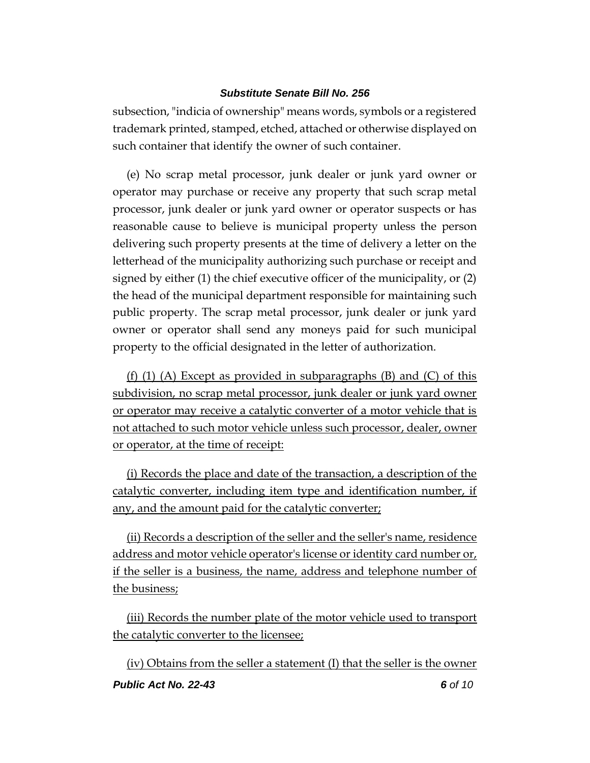subsection, "indicia of ownership" means words, symbols or a registered trademark printed, stamped, etched, attached or otherwise displayed on such container that identify the owner of such container.

(e) No scrap metal processor, junk dealer or junk yard owner or operator may purchase or receive any property that such scrap metal processor, junk dealer or junk yard owner or operator suspects or has reasonable cause to believe is municipal property unless the person delivering such property presents at the time of delivery a letter on the letterhead of the municipality authorizing such purchase or receipt and signed by either (1) the chief executive officer of the municipality, or (2) the head of the municipal department responsible for maintaining such public property. The scrap metal processor, junk dealer or junk yard owner or operator shall send any moneys paid for such municipal property to the official designated in the letter of authorization.

(f) (1) (A) Except as provided in subparagraphs (B) and (C) of this subdivision, no scrap metal processor, junk dealer or junk yard owner or operator may receive a catalytic converter of a motor vehicle that is not attached to such motor vehicle unless such processor, dealer, owner or operator, at the time of receipt:

(i) Records the place and date of the transaction, a description of the catalytic converter, including item type and identification number, if any, and the amount paid for the catalytic converter;

(ii) Records a description of the seller and the seller's name, residence address and motor vehicle operator's license or identity card number or, if the seller is a business, the name, address and telephone number of the business;

(iii) Records the number plate of the motor vehicle used to transport the catalytic converter to the licensee;

*Public Act No. 22-43 6 of 10* (iv) Obtains from the seller a statement (I) that the seller is the owner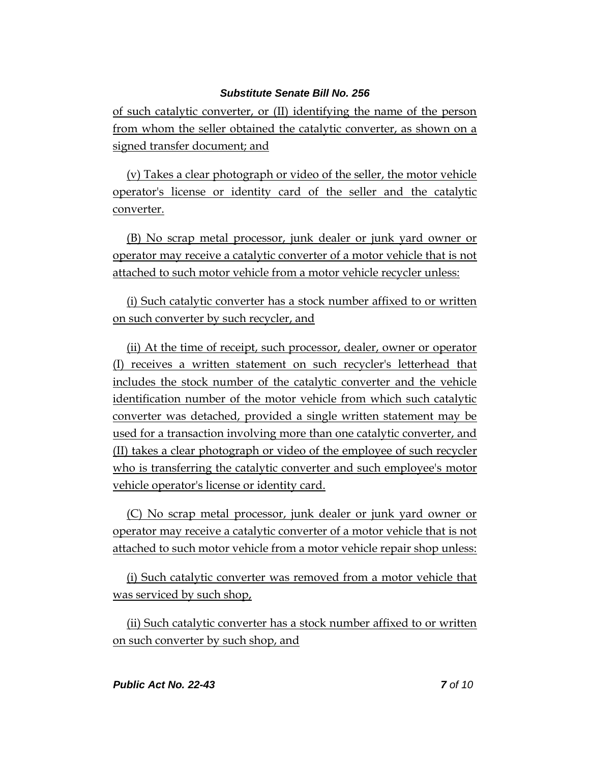of such catalytic converter, or (II) identifying the name of the person from whom the seller obtained the catalytic converter, as shown on a signed transfer document; and

(v) Takes a clear photograph or video of the seller, the motor vehicle operator's license or identity card of the seller and the catalytic converter.

(B) No scrap metal processor, junk dealer or junk yard owner or operator may receive a catalytic converter of a motor vehicle that is not attached to such motor vehicle from a motor vehicle recycler unless:

(i) Such catalytic converter has a stock number affixed to or written on such converter by such recycler, and

(ii) At the time of receipt, such processor, dealer, owner or operator (I) receives a written statement on such recycler's letterhead that includes the stock number of the catalytic converter and the vehicle identification number of the motor vehicle from which such catalytic converter was detached, provided a single written statement may be used for a transaction involving more than one catalytic converter, and (II) takes a clear photograph or video of the employee of such recycler who is transferring the catalytic converter and such employee's motor vehicle operator's license or identity card.

(C) No scrap metal processor, junk dealer or junk yard owner or operator may receive a catalytic converter of a motor vehicle that is not attached to such motor vehicle from a motor vehicle repair shop unless:

(i) Such catalytic converter was removed from a motor vehicle that was serviced by such shop,

(ii) Such catalytic converter has a stock number affixed to or written on such converter by such shop, and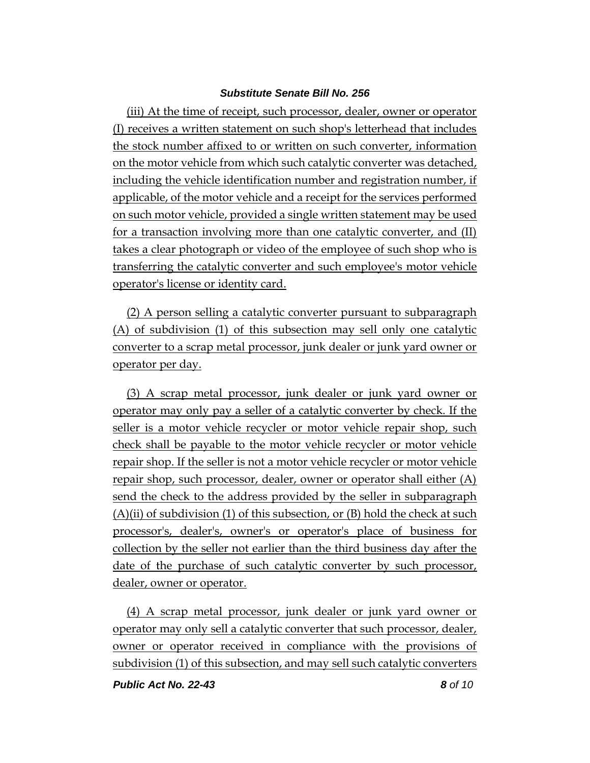(iii) At the time of receipt, such processor, dealer, owner or operator (I) receives a written statement on such shop's letterhead that includes the stock number affixed to or written on such converter, information on the motor vehicle from which such catalytic converter was detached, including the vehicle identification number and registration number, if applicable, of the motor vehicle and a receipt for the services performed on such motor vehicle, provided a single written statement may be used for a transaction involving more than one catalytic converter, and (II) takes a clear photograph or video of the employee of such shop who is transferring the catalytic converter and such employee's motor vehicle operator's license or identity card.

(2) A person selling a catalytic converter pursuant to subparagraph (A) of subdivision (1) of this subsection may sell only one catalytic converter to a scrap metal processor, junk dealer or junk yard owner or operator per day.

(3) A scrap metal processor, junk dealer or junk yard owner or operator may only pay a seller of a catalytic converter by check. If the seller is a motor vehicle recycler or motor vehicle repair shop, such check shall be payable to the motor vehicle recycler or motor vehicle repair shop. If the seller is not a motor vehicle recycler or motor vehicle repair shop, such processor, dealer, owner or operator shall either (A) send the check to the address provided by the seller in subparagraph  $(A)$ (ii) of subdivision (1) of this subsection, or (B) hold the check at such processor's, dealer's, owner's or operator's place of business for collection by the seller not earlier than the third business day after the date of the purchase of such catalytic converter by such processor, dealer, owner or operator.

(4) A scrap metal processor, junk dealer or junk yard owner or operator may only sell a catalytic converter that such processor, dealer, owner or operator received in compliance with the provisions of subdivision (1) of this subsection, and may sell such catalytic converters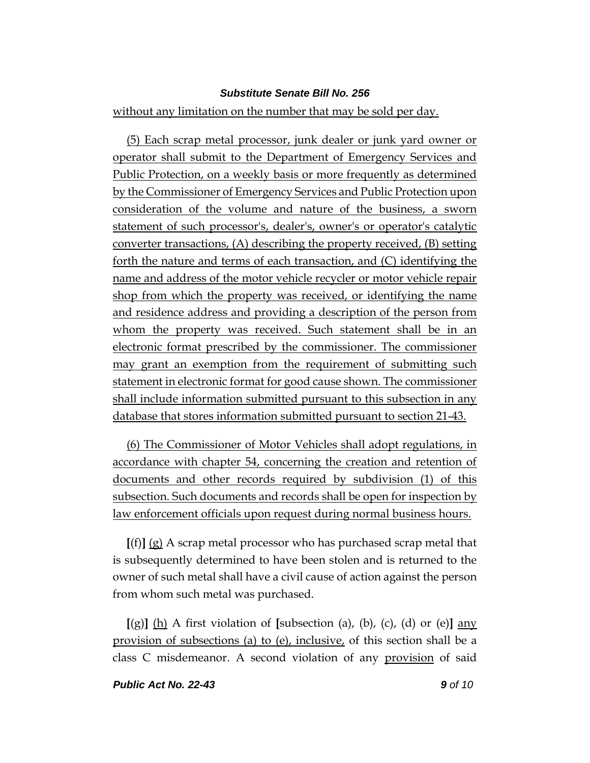without any limitation on the number that may be sold per day.

(5) Each scrap metal processor, junk dealer or junk yard owner or operator shall submit to the Department of Emergency Services and Public Protection, on a weekly basis or more frequently as determined by the Commissioner of Emergency Services and Public Protection upon consideration of the volume and nature of the business, a sworn statement of such processor's, dealer's, owner's or operator's catalytic converter transactions, (A) describing the property received, (B) setting forth the nature and terms of each transaction, and (C) identifying the name and address of the motor vehicle recycler or motor vehicle repair shop from which the property was received, or identifying the name and residence address and providing a description of the person from whom the property was received. Such statement shall be in an electronic format prescribed by the commissioner. The commissioner may grant an exemption from the requirement of submitting such statement in electronic format for good cause shown. The commissioner shall include information submitted pursuant to this subsection in any database that stores information submitted pursuant to section 21-43.

(6) The Commissioner of Motor Vehicles shall adopt regulations, in accordance with chapter 54, concerning the creation and retention of documents and other records required by subdivision (1) of this subsection. Such documents and records shall be open for inspection by law enforcement officials upon request during normal business hours.

**[**(f)**]** (g) A scrap metal processor who has purchased scrap metal that is subsequently determined to have been stolen and is returned to the owner of such metal shall have a civil cause of action against the person from whom such metal was purchased.

 $[(g)]$  (h) A first violation of **[**subsection (a), (b), (c), (d) or (e)**]** any provision of subsections (a) to (e), inclusive, of this section shall be a class C misdemeanor. A second violation of any provision of said